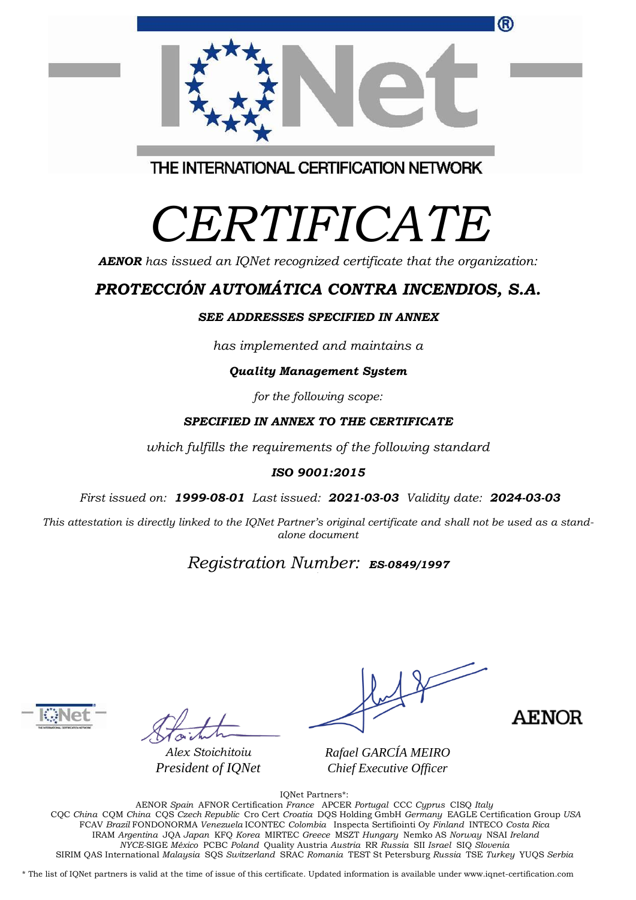|    |  | ® |
|----|--|---|
| 大大 |  |   |

THE INTERNATIONAL CERTIFICATION NETWORK

# *CERTIFICATE*

*AENOR has issued an IQNet recognized certificate that the organization:*

## *PROTECCIÓN AUTOMÁTICA CONTRA INCENDIOS, S.A.*

#### *SEE ADDRESSES SPECIFIED IN ANNEX*

*has implemented and maintains a*

#### *Quality Management System*

*for the following scope:* 

#### *SPECIFIED IN ANNEX TO THE CERTIFICATE*

*which fulfills the requirements of the following standard*

#### *ISO 9001:2015*

*First issued on: 1999-08-01 Last issued: 2021-03-03 Validity date: 2024-03-03*

This attestation is directly linked to the IQNet Partner's original certificate and shall not be used as a stand*alone document*

### *Registration Number: ES-0849/1997*



*Alex Stoichitoiu President of IQNet*

**AENOR** 

*Rafael GARCÍA MEIRO Chief Executive Officer*

IQNet Partners\*:

AENOR *Spain* AFNOR Certification *France* APCER *Portugal* CCC *Cyprus* CISQ *Italy* CQC *China* CQM *China* CQS *Czech Republic* Cro Cert *Croatia* DQS Holding GmbH *Germany* EAGLE Certification Group *USA* FCAV *Brazil* FONDONORMA *Venezuela* ICONTEC *Colombia* Inspecta Sertifiointi Oy *Finland* INTECO *Costa Rica* IRAM *Argentina* JQA *Japan* KFQ *Korea* MIRTEC *Greece* MSZT *Hungary* Nemko AS *Norway* NSAI *Ireland NYCE-*SIGE *México* PCBC *Poland* Quality Austria *Austria* RR *Russia* SII *Israel* SIQ *Slovenia*  SIRIM QAS International *Malaysia* SQS *Switzerland* SRAC *Romania* TEST St Petersburg *Russia* TSE *Turkey* YUQS *Serbia*

\* The list of IQNet partners is valid at the time of issue of this certificate. Updated information is available under www.iqnet-certification.com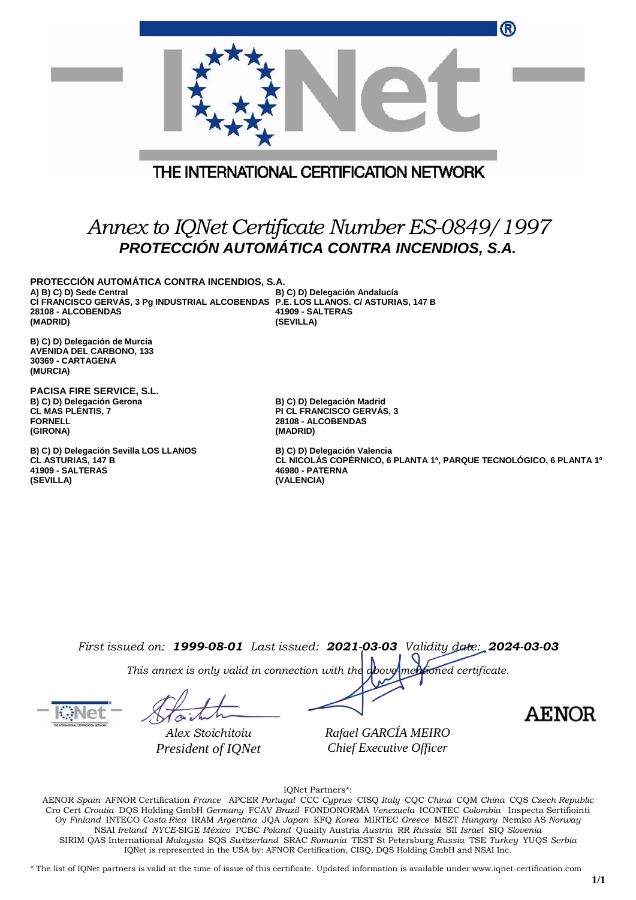|                                                                                                                                                                                                   | ®<br>THE INTERNATIONAL CERTIFICATION NETWORK                                                                                        |
|---------------------------------------------------------------------------------------------------------------------------------------------------------------------------------------------------|-------------------------------------------------------------------------------------------------------------------------------------|
|                                                                                                                                                                                                   | Annex to IQNet Certificate Number ES-0849/1997<br>PROTECCIÓN AUTOMÁTICA CONTRA INCENDIOS, S.A.                                      |
| PROTECCIÓN AUTOMÁTICA CONTRA INCENDIOS, S.A.<br>A) B) C) D) Sede Central<br>CI FRANCISCO GERVÁS, 3 Pg INDUSTRIAL ALCOBENDAS P.E. LOS LLANOS. C/ ASTURIAS, 147 B<br>28108 - ALCOBENDAS<br>(MADRID) | B) C) D) Delegación Andalucía<br>41909 - SALTERAS<br>(SEVILLA)                                                                      |
| B) C) D) Delegación de Murcia<br><b>AVENIDA DEL CARBONO, 133</b><br>30369 - CARTAGENA<br>(MURCIA)                                                                                                 |                                                                                                                                     |
| PACISA FIRE SERVICE, S.L.<br>B) C) D) Delegación Gerona<br><b>CL MAS PLENTIS, 7</b><br><b>FORNELL</b><br>(GIRONA)                                                                                 | B) C) D) Delegación Madrid<br><b>PI CL FRANCISCO GERVAS, 3</b><br>28108 - ALCOBENDAS<br>(MADRID)                                    |
| B) C) D) Delegación Sevilla LOS LLANOS<br>CL ASTURIAS, 147 B<br>41909 - SALTERAS<br>(SEVILLA)                                                                                                     | B) C) D) Delegación Valencia<br>CL NICOLÁS COPÉRNICO, 6 PLANTA 1ª, PARQUE TECNOLÓGICO, 6 PLANTA 19<br>46980 - PATERNA<br>(VALENCIA) |
|                                                                                                                                                                                                   |                                                                                                                                     |
|                                                                                                                                                                                                   |                                                                                                                                     |
|                                                                                                                                                                                                   | First issued on: 1999-08-01 Last issued: 2021-03-03 Validity date: 2024-03-03                                                       |

*This annex is only valid in connection with the above-mentioned certificate.*

*Alex Stoichitoiu President of IQNet* *Rafael GARCÍA MEIRO Chief Executive Officer*

**AENOR** 

IQNet Partners\*:

AENOR *Spain* AFNOR Certification *France* APCER *Portugal* CCC *Cyprus* CISQ *Italy* CQC *China* CQM *China* CQS *Czech Republic*  Cro Cert *Croatia* DQS Holding GmbH *Germany* FCAV *Brazil* FONDONORMA *Venezuela* ICONTEC *Colombia* Inspecta Sertifiointi Oy *Finland* INTECO *Costa Rica* IRAM *Argentina* JQA *Japan* KFQ *Korea* MIRTEC *Greece* MSZT *Hungary* Nemko AS *Norway*  NSAI *Ireland NYCE-*SIGE *México* PCBC *Poland* Quality Austria *Austria* RR *Russia* SII *Israel* SIQ *Slovenia*  SIRIM QAS International *Malaysia* SQS *Switzerland* SRAC *Romania* TEST St Petersburg *Russia* TSE *Turkey* YUQS *Serbia* IQNet is represented in the USA by: AFNOR Certification, CISQ, DQS Holding GmbH and NSAI Inc.

\* The list of IQNet partners is valid at the time of issue of this certificate. Updated information is available under www.iqnet-certification.com